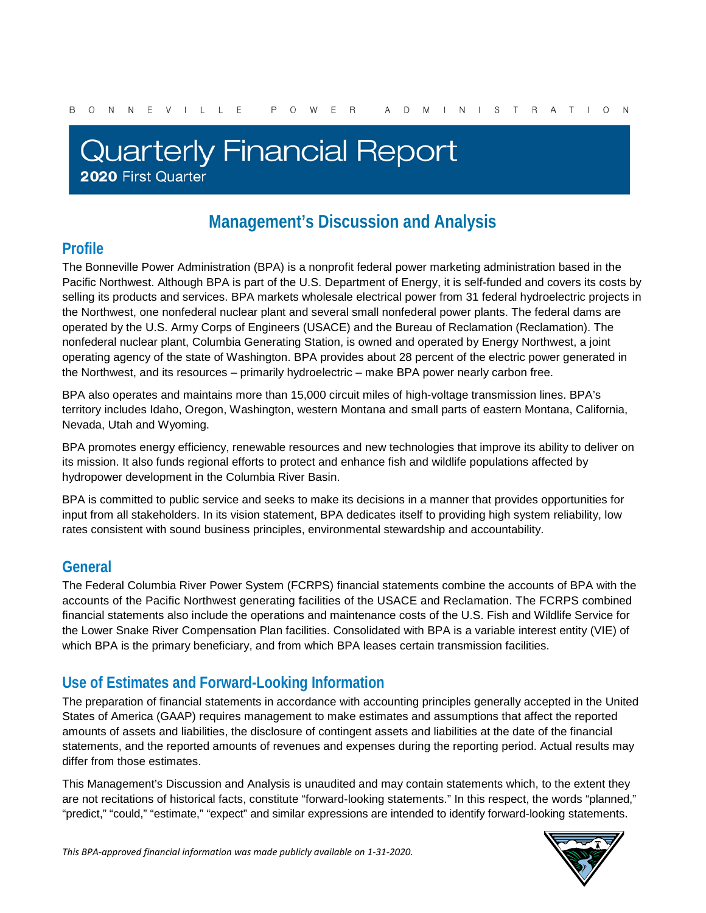# **Quarterly Financial Report** 2020 First Quarter

## **Management's Discussion and Analysis**

### **Profile**

The Bonneville Power Administration (BPA) is a nonprofit federal power marketing administration based in the Pacific Northwest. Although BPA is part of the U.S. Department of Energy, it is self-funded and covers its costs by selling its products and services. BPA markets wholesale electrical power from 31 federal hydroelectric projects in the Northwest, one nonfederal nuclear plant and several small nonfederal power plants. The federal dams are operated by the U.S. Army Corps of Engineers (USACE) and the Bureau of Reclamation (Reclamation). The nonfederal nuclear plant, Columbia Generating Station, is owned and operated by Energy Northwest, a joint operating agency of the state of Washington. BPA provides about 28 percent of the electric power generated in the Northwest, and its resources – primarily hydroelectric – make BPA power nearly carbon free.

BPA also operates and maintains more than 15,000 circuit miles of high-voltage transmission lines. BPA's territory includes Idaho, Oregon, Washington, western Montana and small parts of eastern Montana, California, Nevada, Utah and Wyoming.

BPA promotes energy efficiency, renewable resources and new technologies that improve its ability to deliver on its mission. It also funds regional efforts to protect and enhance fish and wildlife populations affected by hydropower development in the Columbia River Basin.

BPA is committed to public service and seeks to make its decisions in a manner that provides opportunities for input from all stakeholders. In its vision statement, BPA dedicates itself to providing high system reliability, low rates consistent with sound business principles, environmental stewardship and accountability.

### **General**

The Federal Columbia River Power System (FCRPS) financial statements combine the accounts of BPA with the accounts of the Pacific Northwest generating facilities of the USACE and Reclamation. The FCRPS combined financial statements also include the operations and maintenance costs of the U.S. Fish and Wildlife Service for the Lower Snake River Compensation Plan facilities. Consolidated with BPA is a variable interest entity (VIE) of which BPA is the primary beneficiary, and from which BPA leases certain transmission facilities.

### **Use of Estimates and Forward-Looking Information**

The preparation of financial statements in accordance with accounting principles generally accepted in the United States of America (GAAP) requires management to make estimates and assumptions that affect the reported amounts of assets and liabilities, the disclosure of contingent assets and liabilities at the date of the financial statements, and the reported amounts of revenues and expenses during the reporting period. Actual results may differ from those estimates.

This Management's Discussion and Analysis is unaudited and may contain statements which, to the extent they are not recitations of historical facts, constitute "forward-looking statements." In this respect, the words "planned," "predict," "could," "estimate," "expect" and similar expressions are intended to identify forward-looking statements.

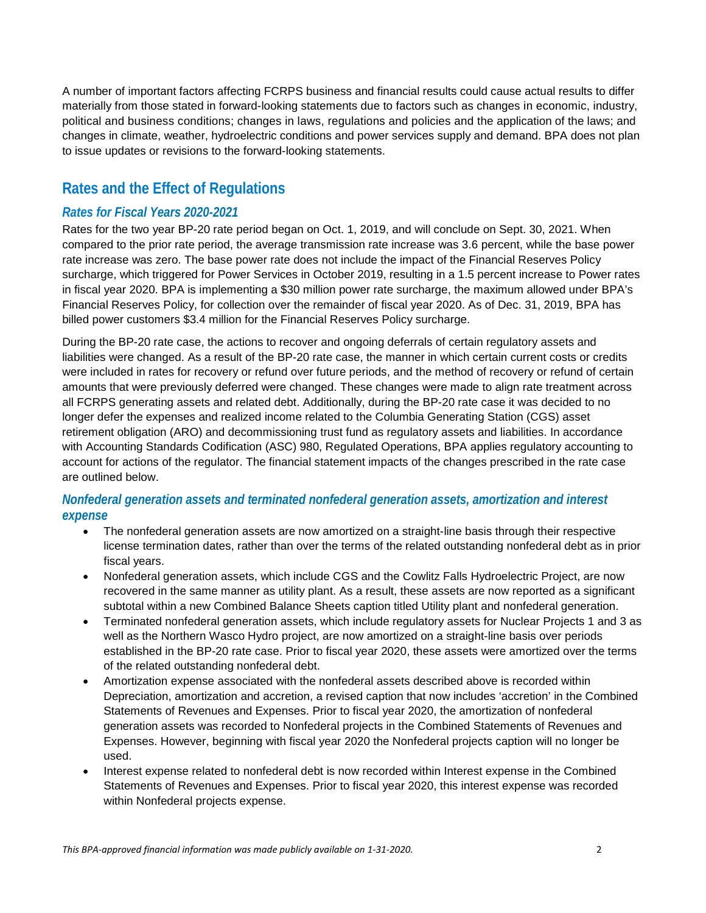A number of important factors affecting FCRPS business and financial results could cause actual results to differ materially from those stated in forward-looking statements due to factors such as changes in economic, industry, political and business conditions; changes in laws, regulations and policies and the application of the laws; and changes in climate, weather, hydroelectric conditions and power services supply and demand. BPA does not plan to issue updates or revisions to the forward-looking statements.

### **Rates and the Effect of Regulations**

#### *Rates for Fiscal Years 2020-2021*

Rates for the two year BP-20 rate period began on Oct. 1, 2019, and will conclude on Sept. 30, 2021. When compared to the prior rate period, the average transmission rate increase was 3.6 percent, while the base power rate increase was zero. The base power rate does not include the impact of the Financial Reserves Policy surcharge, which triggered for Power Services in October 2019, resulting in a 1.5 percent increase to Power rates in fiscal year 2020. BPA is implementing a \$30 million power rate surcharge, the maximum allowed under BPA's Financial Reserves Policy, for collection over the remainder of fiscal year 2020. As of Dec. 31, 2019, BPA has billed power customers \$3.4 million for the Financial Reserves Policy surcharge.

During the BP-20 rate case, the actions to recover and ongoing deferrals of certain regulatory assets and liabilities were changed. As a result of the BP-20 rate case, the manner in which certain current costs or credits were included in rates for recovery or refund over future periods, and the method of recovery or refund of certain amounts that were previously deferred were changed. These changes were made to align rate treatment across all FCRPS generating assets and related debt. Additionally, during the BP-20 rate case it was decided to no longer defer the expenses and realized income related to the Columbia Generating Station (CGS) asset retirement obligation (ARO) and decommissioning trust fund as regulatory assets and liabilities. In accordance with Accounting Standards Codification (ASC) 980, Regulated Operations, BPA applies regulatory accounting to account for actions of the regulator. The financial statement impacts of the changes prescribed in the rate case are outlined below.

#### *Nonfederal generation assets and terminated nonfederal generation assets, amortization and interest expense*

- The nonfederal generation assets are now amortized on a straight-line basis through their respective license termination dates, rather than over the terms of the related outstanding nonfederal debt as in prior fiscal years.
- Nonfederal generation assets, which include CGS and the Cowlitz Falls Hydroelectric Project, are now recovered in the same manner as utility plant. As a result, these assets are now reported as a significant subtotal within a new Combined Balance Sheets caption titled Utility plant and nonfederal generation.
- Terminated nonfederal generation assets, which include regulatory assets for Nuclear Projects 1 and 3 as well as the Northern Wasco Hydro project, are now amortized on a straight-line basis over periods established in the BP-20 rate case. Prior to fiscal year 2020, these assets were amortized over the terms of the related outstanding nonfederal debt.
- Amortization expense associated with the nonfederal assets described above is recorded within Depreciation, amortization and accretion, a revised caption that now includes 'accretion' in the Combined Statements of Revenues and Expenses. Prior to fiscal year 2020, the amortization of nonfederal generation assets was recorded to Nonfederal projects in the Combined Statements of Revenues and Expenses. However, beginning with fiscal year 2020 the Nonfederal projects caption will no longer be used.
- Interest expense related to nonfederal debt is now recorded within Interest expense in the Combined Statements of Revenues and Expenses. Prior to fiscal year 2020, this interest expense was recorded within Nonfederal projects expense.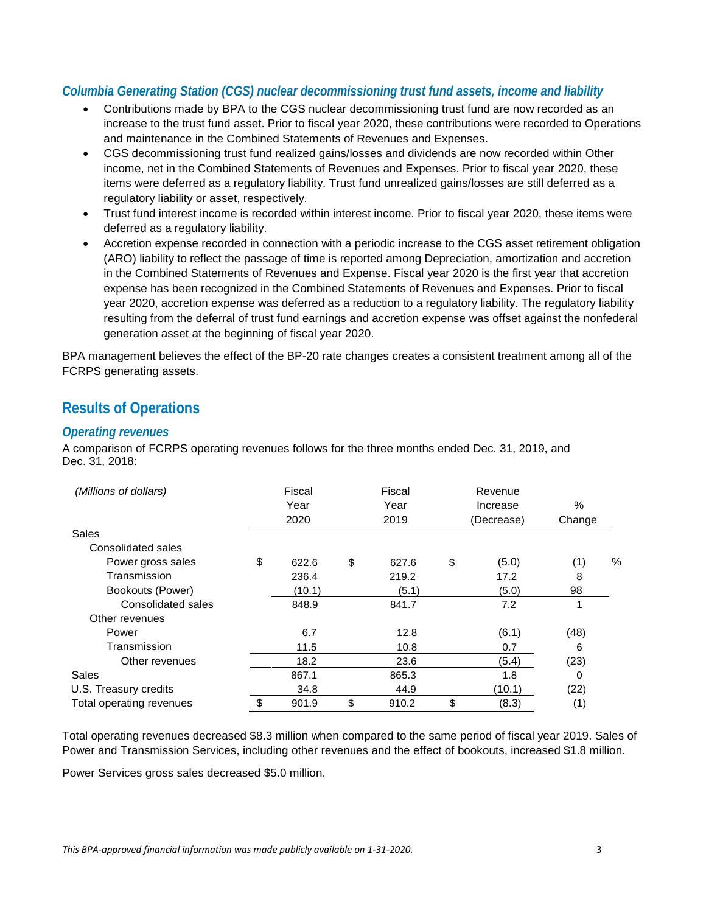#### *Columbia Generating Station (CGS) nuclear decommissioning trust fund assets, income and liability*

- Contributions made by BPA to the CGS nuclear decommissioning trust fund are now recorded as an increase to the trust fund asset. Prior to fiscal year 2020, these contributions were recorded to Operations and maintenance in the Combined Statements of Revenues and Expenses.
- CGS decommissioning trust fund realized gains/losses and dividends are now recorded within Other income, net in the Combined Statements of Revenues and Expenses. Prior to fiscal year 2020, these items were deferred as a regulatory liability. Trust fund unrealized gains/losses are still deferred as a regulatory liability or asset, respectively.
- Trust fund interest income is recorded within interest income. Prior to fiscal year 2020, these items were deferred as a regulatory liability.
- Accretion expense recorded in connection with a periodic increase to the CGS asset retirement obligation (ARO) liability to reflect the passage of time is reported among Depreciation, amortization and accretion in the Combined Statements of Revenues and Expense. Fiscal year 2020 is the first year that accretion expense has been recognized in the Combined Statements of Revenues and Expenses. Prior to fiscal year 2020, accretion expense was deferred as a reduction to a regulatory liability. The regulatory liability resulting from the deferral of trust fund earnings and accretion expense was offset against the nonfederal generation asset at the beginning of fiscal year 2020.

BPA management believes the effect of the BP-20 rate changes creates a consistent treatment among all of the FCRPS generating assets.

### **Results of Operations**

#### *Operating revenues*

A comparison of FCRPS operating revenues follows for the three months ended Dec. 31, 2019, and Dec. 31, 2018:

| (Millions of dollars)    | Fiscal<br>Year<br>2020 |    | Fiscal<br>Year<br>2019 | Revenue<br>Increase<br>(Decrease) | $\%$<br>Change |   |
|--------------------------|------------------------|----|------------------------|-----------------------------------|----------------|---|
| Sales                    |                        |    |                        |                                   |                |   |
| Consolidated sales       |                        |    |                        |                                   |                |   |
| Power gross sales        | \$<br>622.6            | \$ | 627.6                  | \$<br>(5.0)                       | (1)            | % |
| Transmission             | 236.4                  |    | 219.2                  | 17.2                              | 8              |   |
| Bookouts (Power)         | (10.1)                 |    | (5.1)                  | (5.0)                             | 98             |   |
| Consolidated sales       | 848.9                  |    | 841.7                  | 7.2                               | 1              |   |
| Other revenues           |                        |    |                        |                                   |                |   |
| Power                    | 6.7                    |    | 12.8                   | (6.1)                             | (48)           |   |
| Transmission             | 11.5                   |    | 10.8                   | 0.7                               | 6              |   |
| Other revenues           | 18.2                   |    | 23.6                   | (5.4)                             | (23)           |   |
| Sales                    | 867.1                  |    | 865.3                  | 1.8                               | 0              |   |
| U.S. Treasury credits    | 34.8                   |    | 44.9                   | (10.1)                            | (22)           |   |
| Total operating revenues | 901.9                  | \$ | 910.2                  | \$<br>(8.3)                       | (1)            |   |

Total operating revenues decreased \$8.3 million when compared to the same period of fiscal year 2019. Sales of Power and Transmission Services, including other revenues and the effect of bookouts, increased \$1.8 million.

Power Services gross sales decreased \$5.0 million.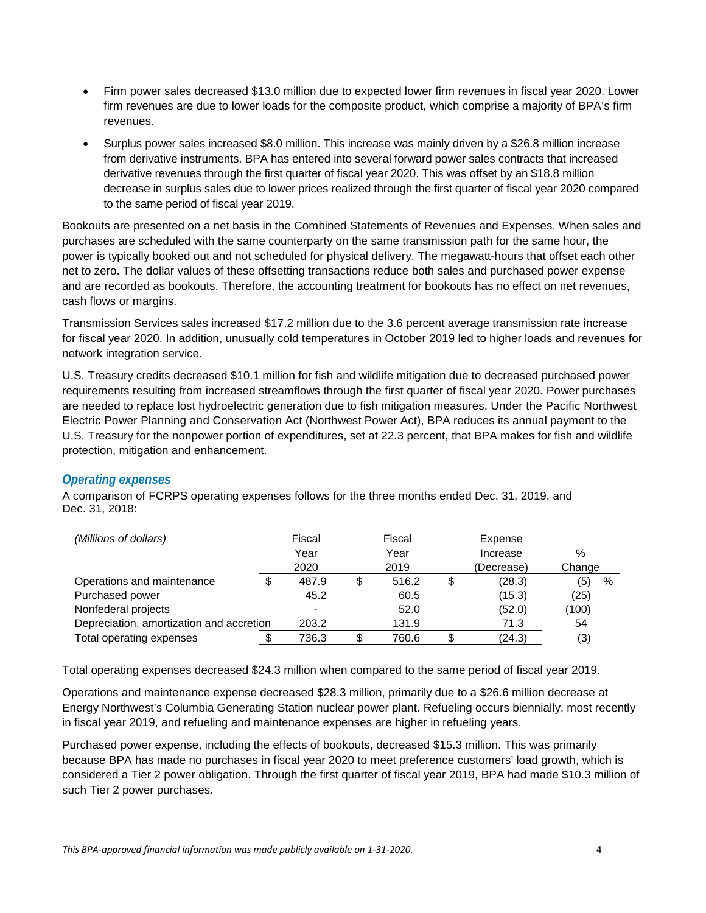- Firm power sales decreased \$13.0 million due to expected lower firm revenues in fiscal year 2020. Lower firm revenues are due to lower loads for the composite product, which comprise a majority of BPA's firm revenues.
- Surplus power sales increased \$8.0 million. This increase was mainly driven by a \$26.8 million increase from derivative instruments. BPA has entered into several forward power sales contracts that increased derivative revenues through the first quarter of fiscal year 2020. This was offset by an \$18.8 million decrease in surplus sales due to lower prices realized through the first quarter of fiscal year 2020 compared to the same period of fiscal year 2019.

Bookouts are presented on a net basis in the Combined Statements of Revenues and Expenses. When sales and purchases are scheduled with the same counterparty on the same transmission path for the same hour, the power is typically booked out and not scheduled for physical delivery. The megawatt-hours that offset each other net to zero. The dollar values of these offsetting transactions reduce both sales and purchased power expense and are recorded as bookouts. Therefore, the accounting treatment for bookouts has no effect on net revenues, cash flows or margins.

Transmission Services sales increased \$17.2 million due to the 3.6 percent average transmission rate increase for fiscal year 2020. In addition, unusually cold temperatures in October 2019 led to higher loads and revenues for network integration service.

U.S. Treasury credits decreased \$10.1 million for fish and wildlife mitigation due to decreased purchased power requirements resulting from increased streamflows through the first quarter of fiscal year 2020. Power purchases are needed to replace lost hydroelectric generation due to fish mitigation measures. Under the Pacific Northwest Electric Power Planning and Conservation Act (Northwest Power Act), BPA reduces its annual payment to the U.S. Treasury for the nonpower portion of expenditures, set at 22.3 percent, that BPA makes for fish and wildlife protection, mitigation and enhancement.

#### *Operating expenses*

A comparison of FCRPS operating expenses follows for the three months ended Dec. 31, 2019, and Dec. 31, 2018:

| (Millions of dollars)                    |      | Fiscal |      | Fiscal |    | Expense    |             |
|------------------------------------------|------|--------|------|--------|----|------------|-------------|
|                                          | Year |        | Year |        |    | Increase   | %           |
|                                          |      | 2020   |      | 2019   |    | (Decrease) | Change      |
| Operations and maintenance               |      | 487.9  | \$   | 516.2  | \$ | (28.3)     | (5)<br>$\%$ |
| Purchased power                          |      | 45.2   |      | 60.5   |    | (15.3)     | (25)        |
| Nonfederal projects                      |      |        |      | 52.0   |    | (52.0)     | (100)       |
| Depreciation, amortization and accretion |      | 203.2  |      | 131.9  |    | 71.3       | 54          |
| Total operating expenses                 |      | 736.3  |      | 760.6  | S. | (24.3)     | (3)         |

Total operating expenses decreased \$24.3 million when compared to the same period of fiscal year 2019.

Operations and maintenance expense decreased \$28.3 million, primarily due to a \$26.6 million decrease at Energy Northwest's Columbia Generating Station nuclear power plant. Refueling occurs biennially, most recently in fiscal year 2019, and refueling and maintenance expenses are higher in refueling years.

Purchased power expense, including the effects of bookouts, decreased \$15.3 million. This was primarily because BPA has made no purchases in fiscal year 2020 to meet preference customers' load growth, which is considered a Tier 2 power obligation. Through the first quarter of fiscal year 2019, BPA had made \$10.3 million of such Tier 2 power purchases.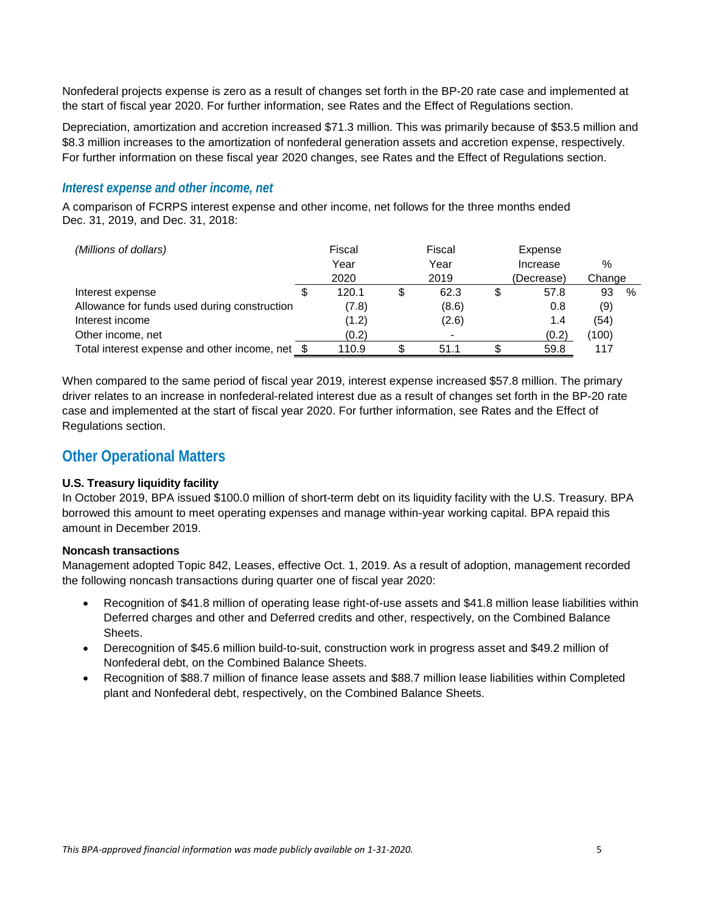Nonfederal projects expense is zero as a result of changes set forth in the BP-20 rate case and implemented at the start of fiscal year 2020. For further information, see Rates and the Effect of Regulations section.

Depreciation, amortization and accretion increased \$71.3 million. This was primarily because of \$53.5 million and \$8.3 million increases to the amortization of nonfederal generation assets and accretion expense, respectively. For further information on these fiscal year 2020 changes, see Rates and the Effect of Regulations section.

#### *Interest expense and other income, net*

A comparison of FCRPS interest expense and other income, net follows for the three months ended Dec. 31, 2019, and Dec. 31, 2018:

| (Millions of dollars)                           | Fiscal |              | Fiscal |       | Expense  |            |        |      |
|-------------------------------------------------|--------|--------------|--------|-------|----------|------------|--------|------|
|                                                 |        | Year<br>Year |        |       | Increase | %          |        |      |
|                                                 |        | 2020         |        | 2019  |          | (Decrease) | Change |      |
| Interest expense                                | \$     | 120.1        |        | 62.3  |          | 57.8       | 93     | $\%$ |
| Allowance for funds used during construction    |        | (7.8)        |        | (8.6) |          | 0.8        | (9)    |      |
| Interest income                                 |        | (1.2)        |        | (2.6) |          | 1.4        | (54)   |      |
| Other income, net                               |        | (0.2)        |        |       |          | (0.2)      | (100)  |      |
| Total interest expense and other income, net \$ |        | 110.9        |        | 51.1  |          | 59.8       | 117    |      |

When compared to the same period of fiscal year 2019, interest expense increased \$57.8 million. The primary driver relates to an increase in nonfederal-related interest due as a result of changes set forth in the BP-20 rate case and implemented at the start of fiscal year 2020. For further information, see Rates and the Effect of Regulations section.

#### **Other Operational Matters**

#### **U.S. Treasury liquidity facility**

In October 2019, BPA issued \$100.0 million of short-term debt on its liquidity facility with the U.S. Treasury. BPA borrowed this amount to meet operating expenses and manage within-year working capital. BPA repaid this amount in December 2019.

#### **Noncash transactions**

Management adopted Topic 842, Leases, effective Oct. 1, 2019. As a result of adoption, management recorded the following noncash transactions during quarter one of fiscal year 2020:

- Recognition of \$41.8 million of operating lease right-of-use assets and \$41.8 million lease liabilities within Deferred charges and other and Deferred credits and other, respectively, on the Combined Balance Sheets.
- Derecognition of \$45.6 million build-to-suit, construction work in progress asset and \$49.2 million of Nonfederal debt, on the Combined Balance Sheets.
- Recognition of \$88.7 million of finance lease assets and \$88.7 million lease liabilities within Completed plant and Nonfederal debt, respectively, on the Combined Balance Sheets.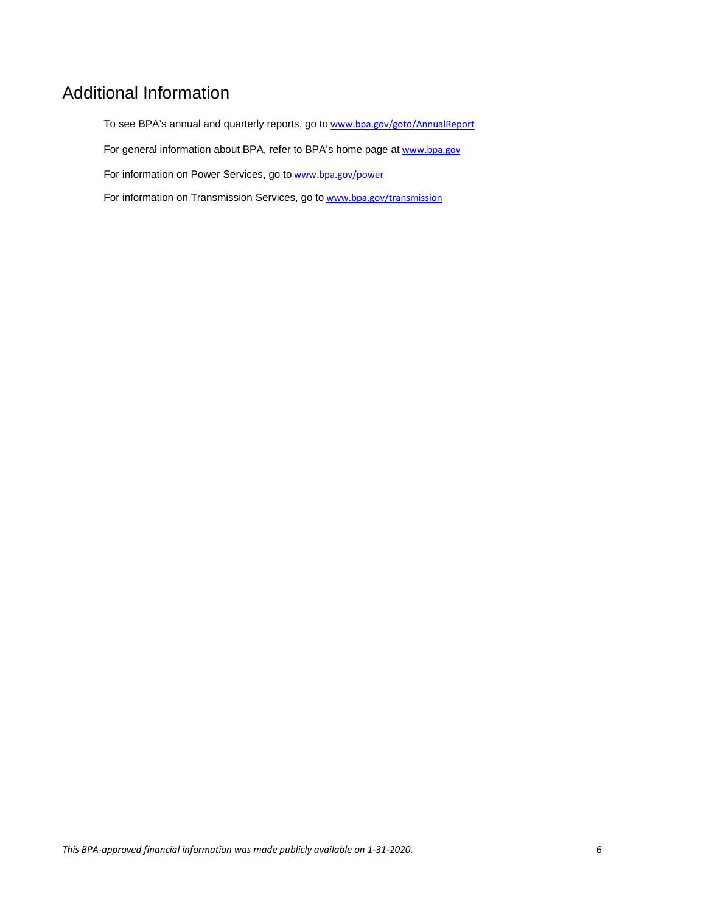## Additional Information

To see BPA's annual and quarterly reports, go to [www.bpa.gov/goto/AnnualReport](http://www.bpa.gov/goto/AnnualReport) For general information about BPA, refer to BPA's home page at [www.bpa.gov](http://www.bpa.gov/) For information on Power Services, go to [www.bpa.gov/power](http://www.bpa.gov/power) For information on Transmission Services, go to [www.bpa.gov/transmission](http://www.bpa.gov/transmission)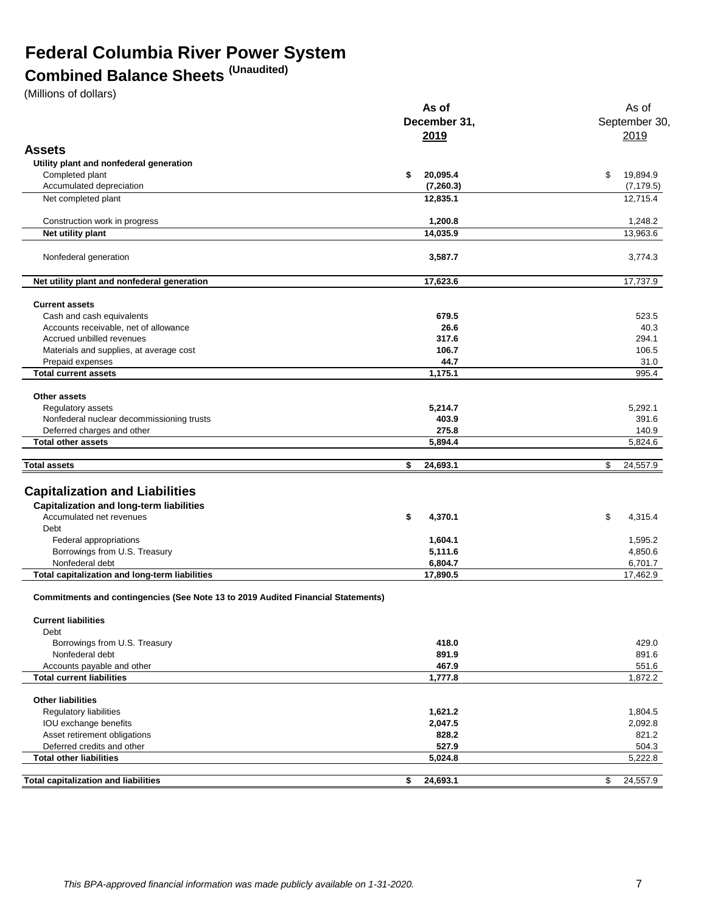## **Federal Columbia River Power System**

### **Combined Balance Sheets (Unaudited)**

(Millions of dollars)

|                                                                                         | As of                 | As of                  |  |  |
|-----------------------------------------------------------------------------------------|-----------------------|------------------------|--|--|
|                                                                                         | December 31,          | September 30           |  |  |
|                                                                                         | 2019                  | 2019                   |  |  |
| <b>Assets</b>                                                                           |                       |                        |  |  |
|                                                                                         |                       |                        |  |  |
| Utility plant and nonfederal generation                                                 | 20,095.4              | \$                     |  |  |
| Completed plant                                                                         | \$                    | 19,894.9               |  |  |
| Accumulated depreciation                                                                | (7,260.3)<br>12,835.1 | (7, 179.5)<br>12,715.4 |  |  |
| Net completed plant                                                                     |                       |                        |  |  |
| Construction work in progress                                                           | 1,200.8               | 1,248.2                |  |  |
| Net utility plant                                                                       | 14,035.9              | 13,963.6               |  |  |
| Nonfederal generation                                                                   | 3,587.7               | 3,774.3                |  |  |
| Net utility plant and nonfederal generation                                             | 17,623.6              | 17,737.9               |  |  |
| <b>Current assets</b>                                                                   |                       |                        |  |  |
| Cash and cash equivalents                                                               | 679.5                 | 523.5                  |  |  |
| Accounts receivable, net of allowance                                                   | 26.6                  | 40.3                   |  |  |
| Accrued unbilled revenues                                                               | 317.6                 | 294.1                  |  |  |
| Materials and supplies, at average cost                                                 | 106.7                 | 106.5                  |  |  |
| Prepaid expenses                                                                        | 44.7                  | 31.0                   |  |  |
| <b>Total current assets</b>                                                             | 1,175.1               | 995.4                  |  |  |
| Other assets                                                                            |                       |                        |  |  |
| Regulatory assets                                                                       | 5,214.7               | 5.292.1                |  |  |
| Nonfederal nuclear decommissioning trusts                                               | 403.9                 | 391.6                  |  |  |
| Deferred charges and other                                                              | 275.8                 | 140.9                  |  |  |
| <b>Total other assets</b>                                                               | 5,894.4               | 5,824.6                |  |  |
| <b>Total assets</b>                                                                     | \$<br>24,693.1        | \$<br>24,557.9         |  |  |
|                                                                                         |                       |                        |  |  |
| <b>Capitalization and Liabilities</b>                                                   |                       |                        |  |  |
| <b>Capitalization and long-term liabilities</b>                                         |                       |                        |  |  |
| Accumulated net revenues                                                                | \$<br>4,370.1         | \$<br>4,315.4          |  |  |
| Debt                                                                                    |                       |                        |  |  |
| Federal appropriations                                                                  | 1,604.1               | 1,595.2                |  |  |
| Borrowings from U.S. Treasury                                                           | 5,111.6               | 4,850.6                |  |  |
| Nonfederal debt                                                                         | 6,804.7               | 6,701.7                |  |  |
| Total capitalization and long-term liabilities                                          | 17,890.5              | 17,462.9               |  |  |
| <b>Commitments and contingencies (See Note 13 to 2019 Audited Financial Statements)</b> |                       |                        |  |  |
| <b>Current liabilities</b>                                                              |                       |                        |  |  |
| Debt                                                                                    |                       |                        |  |  |
| Borrowings from U.S. Treasury                                                           | 418.0                 | 429.0                  |  |  |
| Nonfederal debt                                                                         | 891.9                 | 891.6                  |  |  |
| Accounts payable and other                                                              | 467.9                 | 551.6                  |  |  |
| <b>Total current liabilities</b>                                                        | 1,777.8               | 1,872.2                |  |  |
| <b>Other liabilities</b>                                                                |                       |                        |  |  |
| Regulatory liabilities                                                                  | 1,621.2               | 1,804.5                |  |  |
| IOU exchange benefits                                                                   | 2,047.5               | 2,092.8                |  |  |
| Asset retirement obligations                                                            | 828.2                 | 821.2                  |  |  |
| Deferred credits and other                                                              | 527.9                 | 504.3                  |  |  |
| <b>Total other liabilities</b>                                                          | 5,024.8               | 5,222.8                |  |  |
| <b>Total capitalization and liabilities</b>                                             | 24,693.1<br>\$        | 24,557.9<br>\$         |  |  |
|                                                                                         |                       |                        |  |  |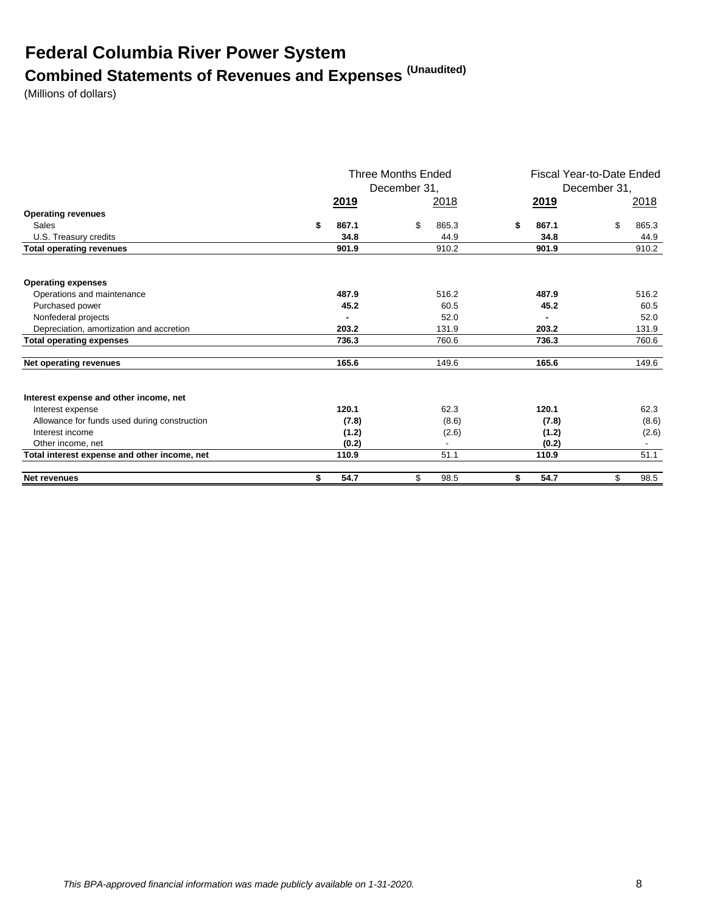## **Federal Columbia River Power System Combined Statements of Revenues and Expenses (Unaudited)**

(Millions of dollars)

|                                              |               | Three Months Ended<br>December 31, |                | Fiscal Year-to-Date Ended<br>December 31, |  |
|----------------------------------------------|---------------|------------------------------------|----------------|-------------------------------------------|--|
|                                              | <u> 2019 </u> | <u>2018</u>                        | 2019           | 2018                                      |  |
| <b>Operating revenues</b>                    |               |                                    |                |                                           |  |
| Sales                                        | \$<br>867.1   | \$<br>865.3                        | 867.1<br>S     | \$<br>865.3                               |  |
| U.S. Treasury credits                        | 34.8          | 44.9                               | 34.8           | 44.9                                      |  |
| <b>Total operating revenues</b>              | 901.9         | 910.2                              | 901.9          | 910.2                                     |  |
| <b>Operating expenses</b>                    |               |                                    |                |                                           |  |
| Operations and maintenance                   | 487.9         | 516.2                              | 487.9          | 516.2                                     |  |
| Purchased power                              | 45.2          | 60.5                               | 45.2           | 60.5                                      |  |
| Nonfederal projects                          |               | 52.0                               |                | 52.0                                      |  |
| Depreciation, amortization and accretion     | 203.2         | 131.9                              | 203.2          | 131.9                                     |  |
| <b>Total operating expenses</b>              | 736.3         | 760.6                              | 736.3          | 760.6                                     |  |
| Net operating revenues                       | 165.6         | 149.6                              | 165.6          | 149.6                                     |  |
| Interest expense and other income, net       |               |                                    |                |                                           |  |
| Interest expense                             | 120.1         | 62.3                               | 120.1          | 62.3                                      |  |
| Allowance for funds used during construction | (7.8)         |                                    | (8.6)<br>(7.8) | (8.6)                                     |  |
| Interest income                              | (1.2)         |                                    | (1.2)<br>(2.6) | (2.6)                                     |  |
| Other income, net                            | (0.2)         |                                    | (0.2)          |                                           |  |
| Total interest expense and other income, net | 110.9         | 51.1                               | 110.9          | 51.1                                      |  |
| <b>Net revenues</b>                          | \$<br>54.7    | \$<br>98.5                         | 54.7<br>S.     | 98.5<br>\$                                |  |